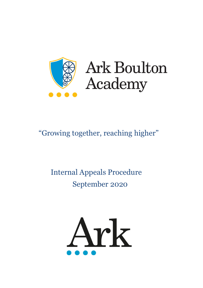



# "Growing together, reaching higher"

# Internal Appeals Procedure September 2020

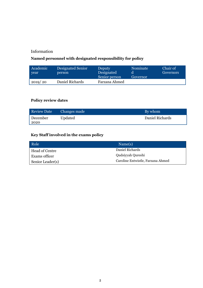# Information

# **Named personnel with designated responsibility for policy**

| Academic<br>year | Designated Senior<br>person | <b>Deputy</b><br>Designated<br>Senior person | Nominate<br>Governor | Chair of<br>Governors |
|------------------|-----------------------------|----------------------------------------------|----------------------|-----------------------|
| 2019/20          | Daniel Richards             | Farzana Ahmed                                |                      |                       |

# **Policy review dates**

| <b>Review Date</b> | Changes made | By whom         |
|--------------------|--------------|-----------------|
| December<br>2020   | Updated      | Daniel Richards |

# **Key Staff involved in the exams policy**

| Role             | Name(s)                           |
|------------------|-----------------------------------|
| Head of Centre   | Daniel Richards                   |
| Exams officer    | Qudsiyyah Qureshi                 |
| Senior Leader(s) | Caroline Entwistle, Farzana Ahmed |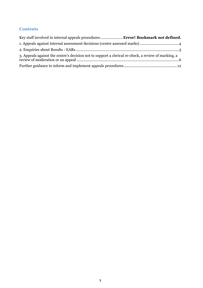## **Contents**

| Key staff involved in internal appeals procedures Error! Bookmark not defined.                      |
|-----------------------------------------------------------------------------------------------------|
|                                                                                                     |
|                                                                                                     |
| 3. Appeals against the centre's decision not to support a clerical re-check, a review of marking, a |
|                                                                                                     |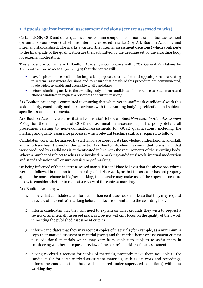## <span id="page-3-0"></span>**1. Appeals against internal assessment decisions (centre assessed marks)**

Certain GCSE, GCE and other qualifications contain components of non-examination assessment (or units of coursework) which are internally assessed (marked) by Ark Boulton Academy and internally standardised. The marks awarded (the internal assessment decisions) which contribute to the final grade of the qualification are then submitted by the deadline set by the awarding body for external moderation.

This procedure confirms Ark Boulton Academy's compliance with JCQ's General Regulations for Approved Centres 2020-2021 (section 5.7) that the centre will:

- have in place and be available for inspection purposes, a written internal appeals procedure relating to internal assessment decisions and to ensure that details of this procedure are communicated, made widely available and accessible to all candidates
- before submitting marks to the awarding body inform candidates of their centre assessed marks and allow a candidate to request a review of the centre's marking

Ark Boulton Academy is committed to ensuring that whenever its staff mark candidates' work this is done fairly, consistently and in accordance with the awarding body's specification and subjectspecific associated documents.

Ark Boulton Academy ensures that all centre staff follow a robust *Non-examination Assessment Policy* (for the management of GCSE non-examination assessments). This policy details all procedures relating to non-examination assessments for GCSE qualifications, including the marking and quality assurance processes which relevant teaching staff are required to follow.

Candidates' work will be marked by staff who have appropriate knowledge, understanding and skill, and who have been trained in this activity. Ark Boulton Academy is committed to ensuring that work produced by candidates is authenticated in line with the requirements of the awarding body. Where a number of subject teachers are involved in marking candidates' work, internal moderation and standardisation will ensure consistency of marking.

On being informed of their centre assessed marks, if a candidate believes that the above procedures were not followed in relation to the marking of his/her work, or that the assessor has not properly applied the mark scheme to his/her marking, then he/she may make use of the appeals procedure below to consider whether to request a review of the centre's marking.

Ark Boulton Academy will

- 1. ensure that candidates are informed of their centre assessed marks so that they may request a review of the centre's marking before marks are submitted to the awarding body
- 2. inform candidates that they will need to explain on what grounds they wish to request a review of an internally assessed mark as a review will only focus on the quality of their work in meeting the published assessment criteria
- 3. inform candidates that they may request copies of materials (for example, as a minimum, a copy their marked assessment material (work) and the mark scheme or assessment criteria plus additional materials which may vary from subject to subject) to assist them in considering whether to request a review of the centre's marking of the assessment
- 4. having received a request for copies of materials, promptly make them available to the candidate (or for some marked assessment materials, such as art work and recordings, inform the candidate that these will be shared under supervised conditions) within 10 working days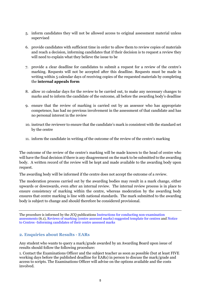- 5. inform candidates they will not be allowed access to original assessment material unless supervised
- 6. provide candidates with sufficient time in order to allow them to review copies of materials and reach a decision, informing candidates that if their decision is to request a review they will need to explain what they believe the issue to be
- 7. provide a clear deadline for candidates to submit a request for a review of the centre's marking. Requests will not be accepted after this deadline. Requests must be made in writing within 5 calendar days of receiving copies of the requested materials by completing the **internal appeals form**
- 8. allow 10 calendar days for the review to be carried out, to make any necessary changes to marks and to inform the candidate of the outcome, all before the awarding body's deadline
- 9. ensure that the review of marking is carried out by an assessor who has appropriate competence, has had no previous involvement in the assessment of that candidate and has no personal interest in the review
- 10. instruct the reviewer to ensure that the candidate's mark is consistent with the standard set by the centre
- 11. inform the candidate in writing of the outcome of the review of the centre's marking

The outcome of the review of the centre's marking will be made known to the head of centre who will have the final decision if there is any disagreement on the mark to be submitted to the awarding body. A written record of the review will be kept and made available to the awarding body upon request.

The awarding body will be informed if the centre does not accept the outcome of a review.

The moderation process carried out by the awarding bodies may result in a mark change, either upwards or downwards, even after an internal review. The internal review process is in place to ensure consistency of marking within the centre, whereas moderation by the awarding body ensures that centre marking is line with national standards. The mark submitted to the awarding body is subject to change and should therefore be considered provisional.

The procedure is informed by the JCQ publications [Instructions for conducting non-examination](https://www.jcq.org.uk/exams-office/non-examination-assessments)  [assessments](https://www.jcq.org.uk/exams-office/non-examination-assessments) (6.1), [Reviews of marking \(centre assessed marks\) suggested template for centres](https://www.jcq.org.uk/exams-office/non-examination-assessments) and [Notice](https://www.jcq.org.uk/exams-office/non-examination-assessments)  to Centres [-Informing candidates of their centre assessed marks](https://www.jcq.org.uk/exams-office/non-examination-assessments)

## <span id="page-4-0"></span>**2. Enquiries about Results - EARs**

Any student who wants to query a mark/grade awarded by an Awarding Board upon issue of results should follow the following procedure:

1. Contact the Examinations Officer and the subject teacher as soon as possible (but at least FIVE working days before the published deadline for EARs) in person to discuss the mark/grade and access to scripts. The Examinations Officer will advise on the options available and the costs involved.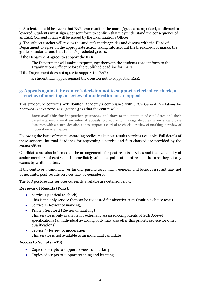2. Students should be aware that EARs can result in the marks/grades being raised, confirmed or lowered. Students must sign a consent form to confirm that they understand the consequence of an EAR. Consent forms will be issued by the Examinations Officer.

3. The subject teacher will review the student's marks/grades and discuss with the Head of Department to agree on the appropriate action taking into account the breakdown of marks, the grade boundaries and the student's predicted grades.

If the Department agrees to support the EAR:

The Department will make a request, together with the students consent form to the Examinations Officer before the published deadline for EARs.

If the Department does not agree to support the EAR:

A student may appeal against the decision not to support an EAR.

### <span id="page-5-0"></span>**3. Appeals against the centre's decision not to support a clerical re-check, a review of marking, a review of moderation or an appeal**

This procedure confirms Ark Boulton Academy's compliance with JCQ's General Regulations for Approved Centres 2020-2021 (section 5.13) that the centre will:

**have available for inspection purposes** and draw to the attention of candidates and their parents/carers, a **written** internal appeals procedure to manage disputes when a candidate disagrees with a centre decision not to support a clerical re-check, a review of marking, a review of moderation or an appeal

Following the issue of results, awarding bodies make post-results services available. Full details of these services, internal deadlines for requesting a service and fees charged are provided by the exams officer.

Candidates are also informed of the arrangements for post-results services and the availability of senior members of centre staff immediately after the publication of results, **before** they sit any exams by written letters.

If the centre or a candidate (or his/her parent/carer) has a concern and believes a result may not be accurate, post-results services may be considered.

The JCQ post-results services currently available are detailed below.

#### **Reviews of Results** (RoRs):

- Service 1 (Clerical re-check) This is the only service that can be requested for objective tests (multiple choice tests)
- Service 2 (Review of marking)
- Priority Service 2 (Review of marking) This service is only available for externally assessed components of GCE A-level specifications (an individual awarding body may also offer this priority service for other qualifications)
- Service 3 (Review of moderation) This service is not available to an individual candidate

#### **Access to Scripts** (ATS):

- Copies of scripts to support reviews of marking
- Copies of scripts to support teaching and learning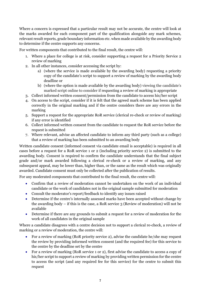Where a concern is expressed that a particular result may not be accurate, the centre will look at the marks awarded for each component part of the qualification alongside any mark schemes, relevant result reports, grade boundary information etc. when made available by the awarding body to determine if the centre supports any concerns.

For written components that contributed to the final result, the centre will:

- 1. Where a place for college is at risk, consider supporting a request for a Priority Service 2 review of marking
- 2. In all other instances, consider accessing the script by:
	- a) (where the service is made available by the awarding body) requesting a priority copy of the candidate's script to support a review of marking by the awarding body deadline or
	- b) (where the option is made available by the awarding body) viewing the candidate's marked script online to consider if requesting a review of marking is appropriate
- 3. Collect informed written consent/permission from the candidate to access his/her script
- 4. On access to the script, consider if it is felt that the agreed mark scheme has been applied correctly in the original marking and if the centre considers there are any errors in the marking
- 5. Support a request for the appropriate RoR service (clerical re-check or review of marking) if any error is identified
- 6. Collect informed written consent from the candidate to request the RoR service before the request is submitted
- 7. Where relevant, advise an affected candidate to inform any third party (such as a college) that a review of marking has been submitted to an awarding body

Written candidate consent (informed consent via candidate email is acceptable) is required in all cases before a request for a RoR service 1 or 2 (including priority service 2) is submitted to the awarding body. Consent is required to confirm the candidate understands that the final subject grade and/or mark awarded following a clerical re-check or a review of marking, and any subsequent appeal, may be lower than, higher than, or the same as the result which was originally awarded. Candidate consent must only be collected after the publication of results.

For any moderated components that contributed to the final result, the centre will:

- Confirm that a review of moderation cannot be undertaken on the work of an individual candidate or the work of candidates not in the original sample submitted for moderation
- Consult the moderator's report/feedback to identify any issues raised
- Determine if the centre's internally assessed marks have been accepted without change by the awarding body – if this is the case, a RoR service 3 (Review of moderation) will not be available
- Determine if there are any grounds to submit a request for a review of moderation for the work of all candidates in the original sample

Where a candidate disagrees with a centre decision not to support a clerical re-check, a review of marking or a review of moderation, the centre will:

- For a review of marking (RoR priority service 2), advise the candidate he/she may request the review by providing informed written consent (and the required fee) for this service to the centre by the deadline set by the centre
- For a review of marking (RoR service 1 or 2), first advise the candidate to access a copy of his/her script to support a review of marking by providing written permission for the centre to access the script (and any required fee for this service) for the centre to submit this request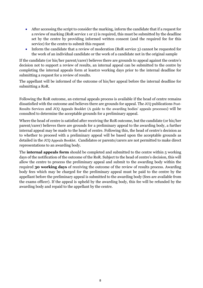- After accessing the script to consider the marking, inform the candidate that if a request for a review of marking (RoR service 1 or 2) is required, this must be submitted by the deadline set by the centre by providing informed written consent (and the required fee for this service) for the centre to submit this request
- Inform the candidate that a review of moderation (RoR service 3) cannot be requested for the work of an individual candidate or the work of a candidate not in the original sample

If the candidate (or his/her parent/carer) believes there are grounds to appeal against the centre's decision not to support a review of results, an internal appeal can be submitted to the centre by completing the internal appeals form at least10 working days prior to the internal deadline for submitting a request for a review of results.

The appellant will be informed of the outcome of his/her appeal before the internal deadline for submitting a RoR.

Following the RoR outcome, an external appeals process is available if the head of centre remains dissatisfied with the outcome and believes there are grounds for appeal. The JCQ publications Post-Results Services and JCQ Appeals Booklet (A guide to the awarding bodies' appeals processes) will be consulted to determine the acceptable grounds for a preliminary appeal.

Where the head of centre is satisfied after receiving the RoR outcome, but the candidate (or his/her parent/carer) believes there are grounds for a preliminary appeal to the awarding body, a further internal appeal may be made to the head of centre. Following this, the head of centre's decision as to whether to proceed with a preliminary appeal will be based upon the acceptable grounds as detailed in the JCQ Appeals Booklet. Candidates or parents/carers are not permitted to make direct representations to an awarding body.

The **internal appeals form** should be completed and submitted to the centre within 5 working days of the notification of the outcome of the RoR. Subject to the head of centre's decision, this will allow the centre to process the preliminary appeal and submit to the awarding body within the required **30 working days** of receiving the outcome of the review of results process. Awarding body fees which may be charged for the preliminary appeal must be paid to the centre by the appellant before the preliminary appeal is submitted to the awarding body (fees are available from the exams officer). If the appeal is upheld by the awarding body, this fee will be refunded by the awarding body and repaid to the appellant by the centre.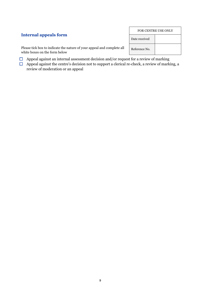|                                                                                                                                                                                                                                   | <b>FOR CENTRE USE ONLY</b> |  |
|-----------------------------------------------------------------------------------------------------------------------------------------------------------------------------------------------------------------------------------|----------------------------|--|
| <b>Internal appeals form</b>                                                                                                                                                                                                      | Date received              |  |
| Please tick box to indicate the nature of your appeal and complete all<br>white boxes on the form below                                                                                                                           | Reference No.              |  |
| $\mathbf{a}$ , and a set of the set of the set of the set of the set of the set of the set of the set of the set of the set of the set of the set of the set of the set of the set of the set of the set of the set of the set of |                            |  |

 $\mathsf{r}$ 

 $\overline{\phantom{a}}$ 

- $\Box$  Appeal against an internal assessment decision and/or request for a review of marking
- $\Box$  Appeal against the centre's decision not to support a clerical re-check, a review of marking, a review of moderation or an appeal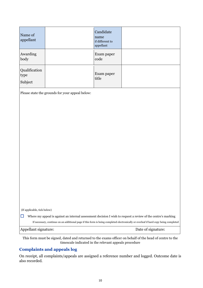| Name of<br>appellant                       |                                                                                                                                                                                                                                                       | Candidate<br>name<br>if different to<br>appellant |  |  |
|--------------------------------------------|-------------------------------------------------------------------------------------------------------------------------------------------------------------------------------------------------------------------------------------------------------|---------------------------------------------------|--|--|
| Awarding<br>body                           |                                                                                                                                                                                                                                                       | Exam paper<br>code                                |  |  |
| Qualification<br>type<br>Subject           |                                                                                                                                                                                                                                                       | Exam paper<br>title                               |  |  |
|                                            | Please state the grounds for your appeal below:                                                                                                                                                                                                       |                                                   |  |  |
|                                            |                                                                                                                                                                                                                                                       |                                                   |  |  |
| (If applicable, tick below)<br>$\Box$      |                                                                                                                                                                                                                                                       |                                                   |  |  |
|                                            | Where my appeal is against an internal assessment decision I wish to request a review of the centre's marking<br>If necessary, continue on an additional page if this form is being completed electronically or overleaf if hard copy being completed |                                                   |  |  |
| Appellant signature:<br>Date of signature: |                                                                                                                                                                                                                                                       |                                                   |  |  |

This form must be signed, dated and returned to the exams officer on behalf of the head of centre to the timescale indicated in the relevant appeals procedure

# **Complaints and appeals log**

On receipt, all complaints/appeals are assigned a reference number and logged. Outcome date is also recorded.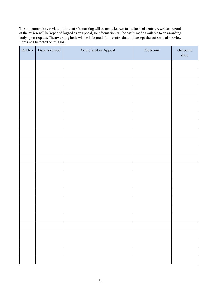The outcome of any review of the centre's marking will be made known to the head of centre. A written record of the review will be kept and logged as an appeal, so information can be easily made available to an awarding body upon request. The awarding body will be informed if the centre does not accept the outcome of a review – this will be noted on this log.

| Ref No. | Date received | Complaint or Appeal | Outcome | $\hbox{Outcome}$<br>$\text{date}$ |
|---------|---------------|---------------------|---------|-----------------------------------|
|         |               |                     |         |                                   |
|         |               |                     |         |                                   |
|         |               |                     |         |                                   |
|         |               |                     |         |                                   |
|         |               |                     |         |                                   |
|         |               |                     |         |                                   |
|         |               |                     |         |                                   |
|         |               |                     |         |                                   |
|         |               |                     |         |                                   |
|         |               |                     |         |                                   |
|         |               |                     |         |                                   |
|         |               |                     |         |                                   |
|         |               |                     |         |                                   |
|         |               |                     |         |                                   |
|         |               |                     |         |                                   |
|         |               |                     |         |                                   |
|         |               |                     |         |                                   |
|         |               |                     |         |                                   |
|         |               |                     |         |                                   |
|         |               |                     |         |                                   |
|         |               |                     |         |                                   |
|         |               |                     |         |                                   |
|         |               |                     |         |                                   |
|         |               |                     |         |                                   |